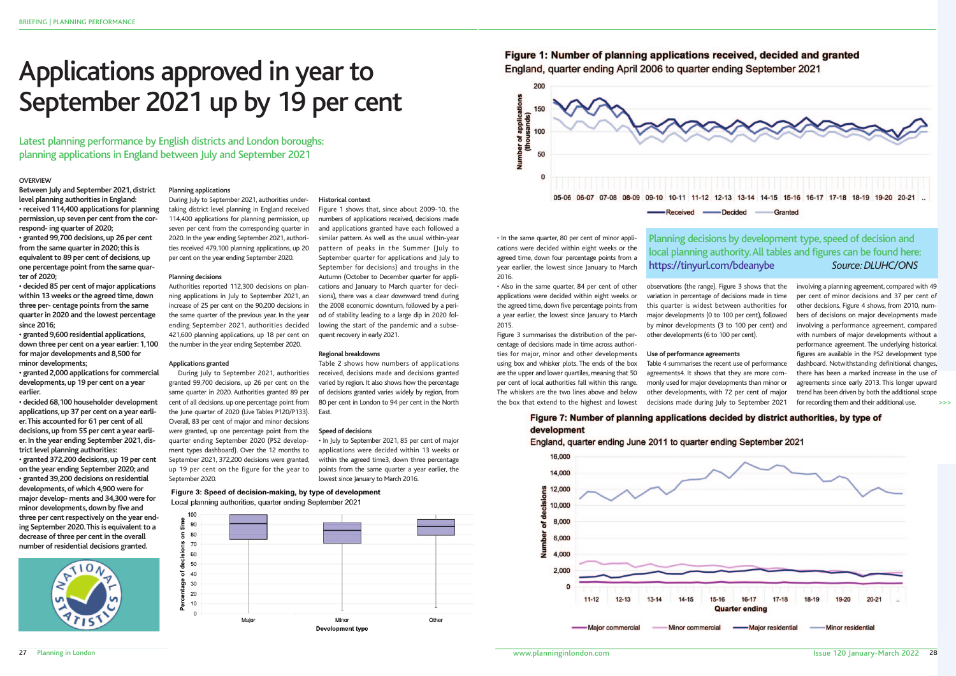27 Planning in London

## Figure 1: Number of planning applications received, decided and granted

-Decided Granted

#### **OVERVIEW**

**Between July and September 2021, district level planning authorities in England: • received 114,400 applications for planning permission, up seven per cent from the correspond- ing quarter of 2020;**

**• granted 99,700 decisions, up 26 per cent from the same quarter in 2020; this is equivalent to 89 per cent of decisions, up one percentage point from the same quarter of 2020;**

**• decided 85 per cent of major applications within 13 weeks or the agreed time, down three per- centage points from the same quarter in 2020 and the lowest percentage since 2016;**

**• granted 9,600 residential applications, down three per cent on a year earlier: 1,100 for major developments and 8,500 for minor developments;**

**• granted 2,000 applications for commercial developments, up 19 per cent on a year earlier.**

**• decided 68,100 householder development applications, up 37 per cent on a year earlier. This accounted for 61 per cent of all decisions, up from 55 per cent a year earlier. In the year ending September 2021, district level planning authorities:**

**• granted 372,200 decisions, up 19 per cent on the year ending September 2020; and • granted 39,200 decisions on residential developments, of which 4,900 were for major develop- ments and 34,300 were for minor developments, down by five and three per cent respectively on the year ending September 2020. This is equivalent to a decrease of three per cent in the overall number of residential decisions granted.**



#### **Planning applications**

During July to September 2021, authorities undertaking district level planning in England received 114,400 applications for planning permission, up seven per cent from the corresponding quarter in 2020. In the year ending September 2021, authorities received 479,100 planning applications, up 20 per cent on the year ending September 2020.

#### **Planning decisions**

Authorities reported 112,300 decisions on planning applications in July to September 2021, an increase of 25 per cent on the 90,200 decisions in the same quarter of the previous year. In the year ending September 2021, authorities decided 421,600 planning applications, up 18 per cent on the number in the year ending September 2020.

#### **Applications granted**

During July to September 2021, authorities granted 99,700 decisions, up 26 per cent on the same quarter in 2020. Authorities granted 89 per cent of all decisions, up one percentage point from the June quarter of 2020 (Live Tables P120/P133). Overall, 83 per cent of major and minor decisions were granted, up one percentage point from the quarter ending September 2020 (PS2 development types dashboard). Over the 12 months to September 2021, 372,200 decisions were granted, up 19 per cent on the figure for the year to September 2020.

#### Figure 3: Speed of decision-making, by type of development Local planning authorities, quarter ending September 2021



**East** 

**Historical context**

Figure 1 shows that, since about 2009-10, the numbers of applications received, decisions made and applications granted have each followed a similar pattern. As well as the usual within-year pattern of peaks in the Summer (July to September quarter for applications and July to September for decisions) and troughs in the Autumn (October to December quarter for applications and January to March quarter for decisions), there was a clear downward trend during the 2008 economic downturn, followed by a period of stability leading to a large dip in 2020 following the start of the pandemic and a subse-

quent recovery in early 2021.

**Regional breakdowns**

Table 2 shows how numbers of applications received, decisions made and decisions granted varied by region. It also shows how the percentage of decisions granted varies widely by region, from 80 per cent in London to 94 per cent in the North

**Speed of decisions**

• In July to September 2021, 85 per cent of major applications were decided within 13 weeks or within the agreed time3, down three percentage points from the same quarter a year earlier, the

lowest since January to March 2016.

England, quarter ending April 2006 to quarter ending September 2021



# Applications approved in year to September 2021 up by 19 per cent

Latest planning performance by English districts and London boroughs: planning applications in England between July and September 2021

> • In the same quarter, 80 per cent of minor applications were decided within eight weeks or the agreed time, down four percentage points from a year earlier, the lowest since January to March 2016.

• Also in the same quarter, 84 per cent of other applications were decided within eight weeks or the agreed time, down five percentage points from a year earlier, the lowest since January to March 2015.

Figure 3 summarises the distribution of the percentage of decisions made in time across authorities for major, minor and other developments using box and whisker plots. The ends of the box are the upper and lower quartiles, meaning that 50 per cent of local authorities fall within this range. The whiskers are the two lines above and below the box that extend to the highest and lowest observations (the range). Figure 3 shows that the variation in percentage of decisions made in time this quarter is widest between authorities for major developments (0 to 100 per cent), followed by minor developments (3 to 100 per cent) and other developments (6 to 100 per cent).

**Use of performance agreements** Table 4 summarises the recent use of performance agreements4. It shows that they are more commonly used for major developments than minor or other developments, with 72 per cent of major decisions made during July to September 2021

## Figure 7: Number of planning applications decided by district authorities, by type of development

England, quarter ending June 2011 to quarter ending September 2021



involving a planning agreement, compared with 49 per cent of minor decisions and 37 per cent of other decisions. Figure 4 shows, from 2010, numbers of decisions on major developments made involving a performance agreement, compared with numbers of major developments without a performance agreement. The underlying historical figures are available in the PS2 development type dashboard. Notwithstanding definitional changes, there has been a marked increase in the use of agreements since early 2013. This longer upward trend has been driven by both the additional scope for recording them and their additional use.

## Planning decisions by development type, speed of decision and local planning authority. All tables and figures can be found here: https://tinyurl.com/bdeanybe *Source: DLUHC/ONS*

>>>